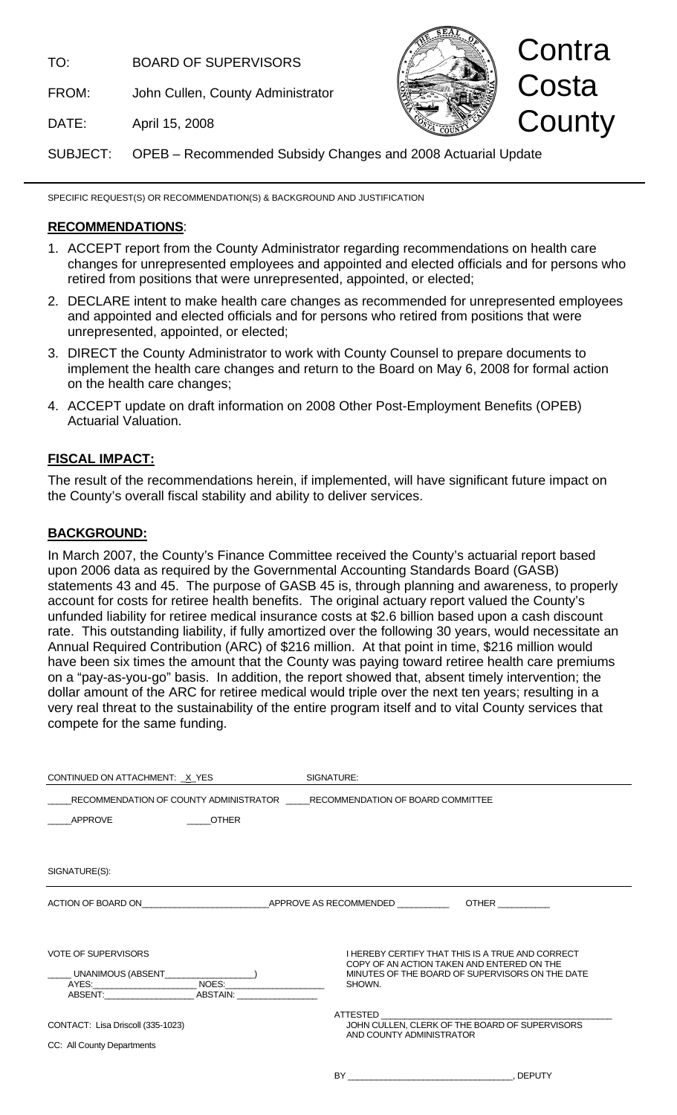TO: BOARD OF SUPERVISORS

FROM: John Cullen, County Administrator



# Contra Costa **County**

DATE: April 15, 2008

SUBJECT: OPEB – Recommended Subsidy Changes and 2008 Actuarial Update

SPECIFIC REQUEST(S) OR RECOMMENDATION(S) & BACKGROUND AND JUSTIFICATION

# **RECOMMENDATIONS**:

- 1. ACCEPT report from the County Administrator regarding recommendations on health care changes for unrepresented employees and appointed and elected officials and for persons who retired from positions that were unrepresented, appointed, or elected;
- 2. DECLARE intent to make health care changes as recommended for unrepresented employees and appointed and elected officials and for persons who retired from positions that were unrepresented, appointed, or elected;
- 3. DIRECT the County Administrator to work with County Counsel to prepare documents to implement the health care changes and return to the Board on May 6, 2008 for formal action on the health care changes;
- 4. ACCEPT update on draft information on 2008 Other Post-Employment Benefits (OPEB) Actuarial Valuation.

# **FISCAL IMPACT:**

The result of the recommendations herein, if implemented, will have significant future impact on the County's overall fiscal stability and ability to deliver services.

## **BACKGROUND:**

In March 2007, the County's Finance Committee received the County's actuarial report based upon 2006 data as required by the Governmental Accounting Standards Board (GASB) statements 43 and 45. The purpose of GASB 45 is, through planning and awareness, to properly account for costs for retiree health benefits. The original actuary report valued the County's unfunded liability for retiree medical insurance costs at \$2.6 billion based upon a cash discount rate. This outstanding liability, if fully amortized over the following 30 years, would necessitate an Annual Required Contribution (ARC) of \$216 million. At that point in time, \$216 million would have been six times the amount that the County was paying toward retiree health care premiums on a "pay-as-you-go" basis. In addition, the report showed that, absent timely intervention; the dollar amount of the ARC for retiree medical would triple over the next ten years; resulting in a very real threat to the sustainability of the entire program itself and to vital County services that compete for the same funding.

| CONTINUED ON ATTACHMENT: X_YES                                           | SIGNATURE:                                                                                            |
|--------------------------------------------------------------------------|-------------------------------------------------------------------------------------------------------|
| RECOMMENDATION OF COUNTY ADMINISTRATOR RECOMMENDATION OF BOARD COMMITTEE |                                                                                                       |
| APPROVE<br><b>OTHER</b>                                                  |                                                                                                       |
|                                                                          |                                                                                                       |
| SIGNATURE(S):                                                            |                                                                                                       |
| ACTION OF BOARD ON APPROVE AS RECOMMENDED                                | <b>OTHER</b>                                                                                          |
|                                                                          |                                                                                                       |
| <b>VOTE OF SUPERVISORS</b>                                               | <b>I HEREBY CERTIFY THAT THIS IS A TRUE AND CORRECT</b><br>COPY OF AN ACTION TAKEN AND ENTERED ON THE |
| UNANIMOUS (ABSENT_______________<br>ABSTAIN:                             | MINUTES OF THE BOARD OF SUPERVISORS ON THE DATE<br>SHOWN.                                             |
| CONTACT: Lisa Driscoll (335-1023)                                        | ATTESTED<br>JOHN CULLEN, CLERK OF THE BOARD OF SUPERVISORS                                            |
| CC: All County Departments                                               | AND COUNTY ADMINISTRATOR                                                                              |
|                                                                          | BY<br>DEPUTY                                                                                          |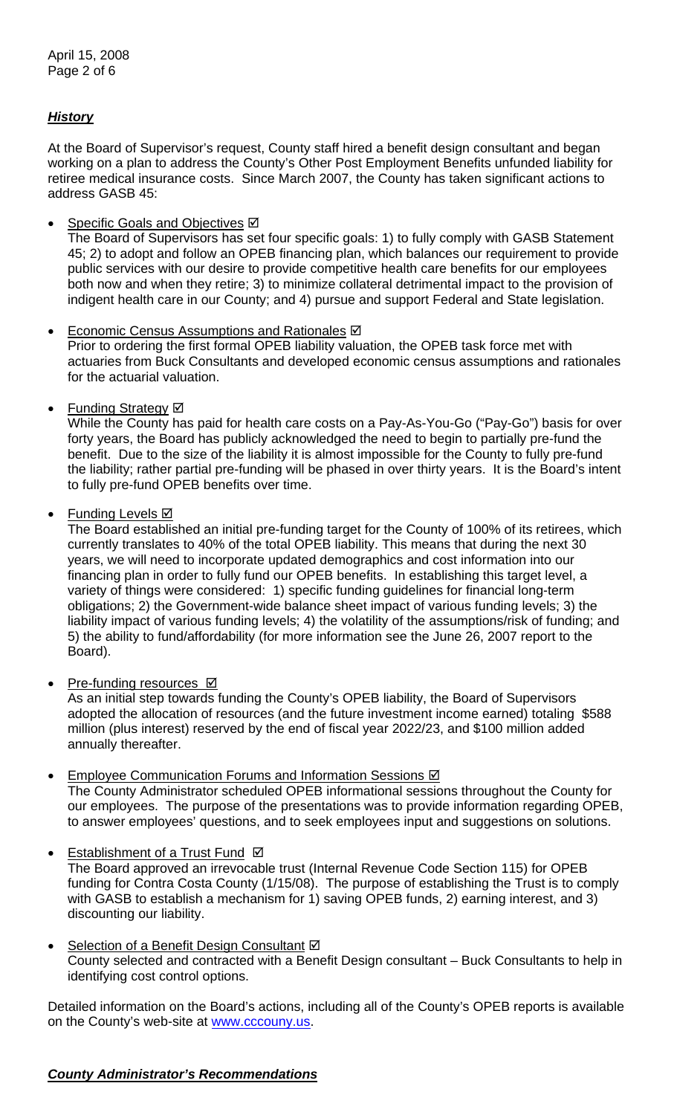# *History*

At the Board of Supervisor's request, County staff hired a benefit design consultant and began working on a plan to address the County's Other Post Employment Benefits unfunded liability for retiree medical insurance costs. Since March 2007, the County has taken significant actions to address GASB 45:

Specific Goals and Objectives  $\boxtimes$ The Board of Supervisors has set four specific goals: 1) to fully comply with GASB Statement 45; 2) to adopt and follow an OPEB financing plan, which balances our requirement to provide public services with our desire to provide competitive health care benefits for our employees both now and when they retire; 3) to minimize collateral detrimental impact to the provision of indigent health care in our County; and 4) pursue and support Federal and State legislation.

- Economic Census Assumptions and Rationales  $\boxtimes$ Prior to ordering the first formal OPEB liability valuation, the OPEB task force met with actuaries from Buck Consultants and developed economic census assumptions and rationales for the actuarial valuation.
- Funding Strategy  $\boxtimes$

While the County has paid for health care costs on a Pay-As-You-Go ("Pay-Go") basis for over forty years, the Board has publicly acknowledged the need to begin to partially pre-fund the benefit. Due to the size of the liability it is almost impossible for the County to fully pre-fund the liability; rather partial pre-funding will be phased in over thirty years. It is the Board's intent to fully pre-fund OPEB benefits over time.

**Funding Levels** Ø

The Board established an initial pre-funding target for the County of 100% of its retirees, which currently translates to 40% of the total OPEB liability. This means that during the next 30 years, we will need to incorporate updated demographics and cost information into our financing plan in order to fully fund our OPEB benefits. In establishing this target level, a variety of things were considered: 1) specific funding guidelines for financial long-term obligations; 2) the Government-wide balance sheet impact of various funding levels; 3) the liability impact of various funding levels; 4) the volatility of the assumptions/risk of funding; and 5) the ability to fund/affordability (for more information see the June 26, 2007 report to the Board).

**Pre-funding resources**  $\boxtimes$ 

As an initial step towards funding the County's OPEB liability, the Board of Supervisors adopted the allocation of resources (and the future investment income earned) totaling \$588 million (plus interest) reserved by the end of fiscal year 2022/23, and \$100 million added annually thereafter.

# • Employee Communication Forums and Information Sessions  $\boxtimes$

The County Administrator scheduled OPEB informational sessions throughout the County for our employees. The purpose of the presentations was to provide information regarding OPEB, to answer employees' questions, and to seek employees input and suggestions on solutions.

- Establishment of a Trust Fund Ø The Board approved an irrevocable trust (Internal Revenue Code Section 115) for OPEB funding for Contra Costa County (1/15/08). The purpose of establishing the Trust is to comply with GASB to establish a mechanism for 1) saving OPEB funds, 2) earning interest, and 3) discounting our liability.
- Selection of a Benefit Design Consultant  $\boxtimes$ County selected and contracted with a Benefit Design consultant – Buck Consultants to help in identifying cost control options.

Detailed information on the Board's actions, including all of the County's OPEB reports is available on the County's web-site at www.cccouny.us.

# *County Administrator's Recommendations*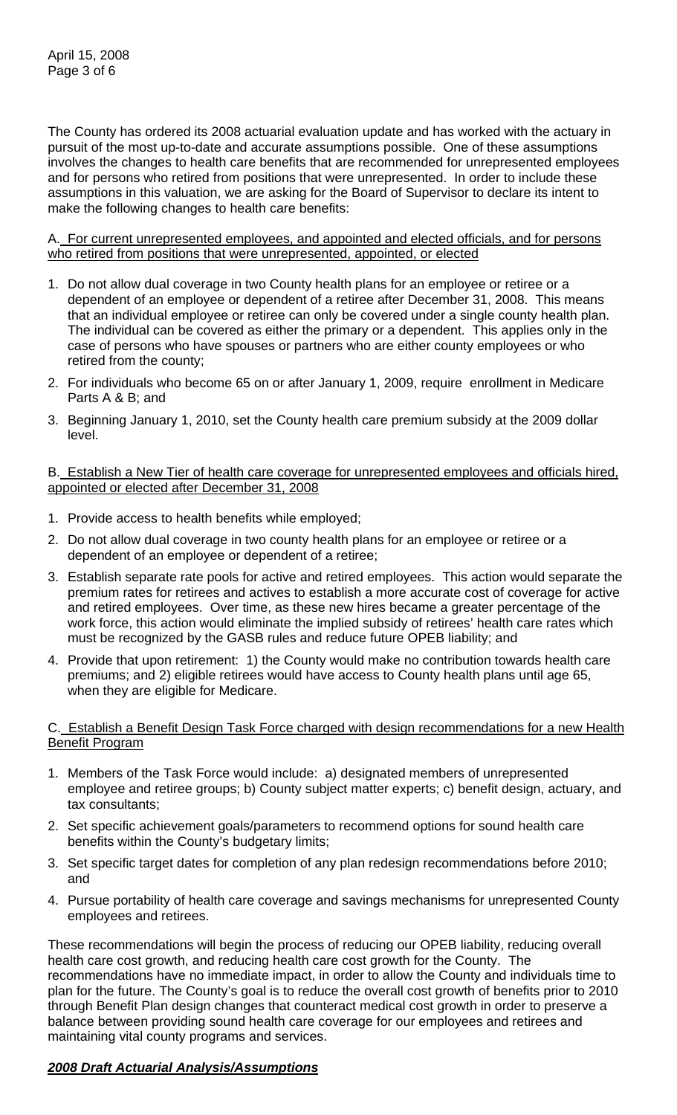The County has ordered its 2008 actuarial evaluation update and has worked with the actuary in pursuit of the most up-to-date and accurate assumptions possible. One of these assumptions involves the changes to health care benefits that are recommended for unrepresented employees and for persons who retired from positions that were unrepresented. In order to include these assumptions in this valuation, we are asking for the Board of Supervisor to declare its intent to make the following changes to health care benefits:

A. For current unrepresented employees, and appointed and elected officials, and for persons who retired from positions that were unrepresented, appointed, or elected

- 1. Do not allow dual coverage in two County health plans for an employee or retiree or a dependent of an employee or dependent of a retiree after December 31, 2008. This means that an individual employee or retiree can only be covered under a single county health plan. The individual can be covered as either the primary or a dependent. This applies only in the case of persons who have spouses or partners who are either county employees or who retired from the county;
- 2. For individuals who become 65 on or after January 1, 2009, require enrollment in Medicare Parts A & B; and
- 3. Beginning January 1, 2010, set the County health care premium subsidy at the 2009 dollar level.

## B. Establish a New Tier of health care coverage for unrepresented employees and officials hired, appointed or elected after December 31, 2008

- 1. Provide access to health benefits while employed;
- 2. Do not allow dual coverage in two county health plans for an employee or retiree or a dependent of an employee or dependent of a retiree;
- 3. Establish separate rate pools for active and retired employees. This action would separate the premium rates for retirees and actives to establish a more accurate cost of coverage for active and retired employees. Over time, as these new hires became a greater percentage of the work force, this action would eliminate the implied subsidy of retirees' health care rates which must be recognized by the GASB rules and reduce future OPEB liability; and
- 4. Provide that upon retirement: 1) the County would make no contribution towards health care premiums; and 2) eligible retirees would have access to County health plans until age 65, when they are eligible for Medicare.

## C. Establish a Benefit Design Task Force charged with design recommendations for a new Health Benefit Program

- 1. Members of the Task Force would include: a) designated members of unrepresented employee and retiree groups; b) County subject matter experts; c) benefit design, actuary, and tax consultants;
- 2. Set specific achievement goals/parameters to recommend options for sound health care benefits within the County's budgetary limits;
- 3. Set specific target dates for completion of any plan redesign recommendations before 2010; and
- 4. Pursue portability of health care coverage and savings mechanisms for unrepresented County employees and retirees.

These recommendations will begin the process of reducing our OPEB liability, reducing overall health care cost growth, and reducing health care cost growth for the County. The recommendations have no immediate impact, in order to allow the County and individuals time to plan for the future. The County's goal is to reduce the overall cost growth of benefits prior to 2010 through Benefit Plan design changes that counteract medical cost growth in order to preserve a balance between providing sound health care coverage for our employees and retirees and maintaining vital county programs and services.

# *2008 Draft Actuarial Analysis/Assumptions*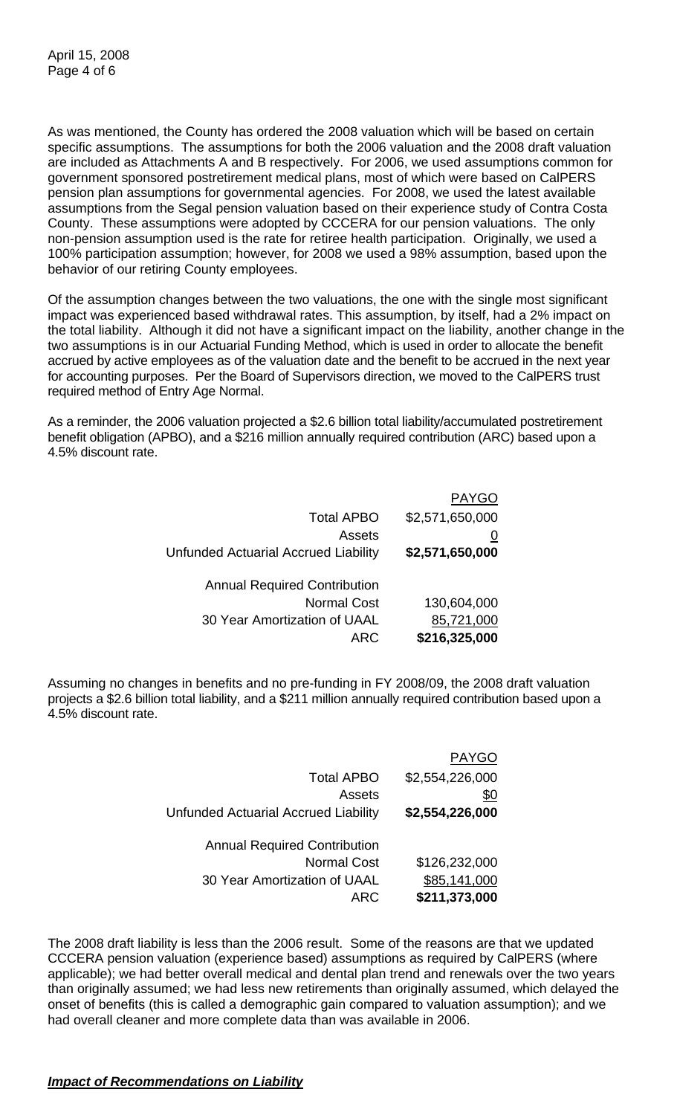As was mentioned, the County has ordered the 2008 valuation which will be based on certain specific assumptions. The assumptions for both the 2006 valuation and the 2008 draft valuation are included as Attachments A and B respectively. For 2006, we used assumptions common for government sponsored postretirement medical plans, most of which were based on CalPERS pension plan assumptions for governmental agencies. For 2008, we used the latest available assumptions from the Segal pension valuation based on their experience study of Contra Costa County. These assumptions were adopted by CCCERA for our pension valuations. The only non-pension assumption used is the rate for retiree health participation. Originally, we used a 100% participation assumption; however, for 2008 we used a 98% assumption, based upon the behavior of our retiring County employees.

Of the assumption changes between the two valuations, the one with the single most significant impact was experienced based withdrawal rates. This assumption, by itself, had a 2% impact on the total liability. Although it did not have a significant impact on the liability, another change in the two assumptions is in our Actuarial Funding Method, which is used in order to allocate the benefit accrued by active employees as of the valuation date and the benefit to be accrued in the next year for accounting purposes. Per the Board of Supervisors direction, we moved to the CalPERS trust required method of Entry Age Normal.

As a reminder, the 2006 valuation projected a \$2.6 billion total liability/accumulated postretirement benefit obligation (APBO), and a \$216 million annually required contribution (ARC) based upon a 4.5% discount rate.

|                                             | <b>PAYGO</b>    |
|---------------------------------------------|-----------------|
| <b>Total APBO</b>                           | \$2,571,650,000 |
| Assets                                      |                 |
| <b>Unfunded Actuarial Accrued Liability</b> | \$2,571,650,000 |
|                                             |                 |
| <b>Annual Required Contribution</b>         |                 |
| <b>Normal Cost</b>                          | 130,604,000     |
| 30 Year Amortization of UAAL                | 85,721,000      |
| ARC.                                        | \$216,325,000   |

Assuming no changes in benefits and no pre-funding in FY 2008/09, the 2008 draft valuation projects a \$2.6 billion total liability, and a \$211 million annually required contribution based upon a 4.5% discount rate.

| <b>PAYGO</b>    |                                             |
|-----------------|---------------------------------------------|
| \$2,554,226,000 | <b>Total APBO</b>                           |
| \$0             | Assets                                      |
| \$2,554,226,000 | <b>Unfunded Actuarial Accrued Liability</b> |
|                 |                                             |
|                 | <b>Annual Required Contribution</b>         |
| \$126,232,000   | <b>Normal Cost</b>                          |
| \$85,141,000    | 30 Year Amortization of UAAL                |
| \$211,373,000   | ARC.                                        |
|                 |                                             |

The 2008 draft liability is less than the 2006 result. Some of the reasons are that we updated CCCERA pension valuation (experience based) assumptions as required by CalPERS (where applicable); we had better overall medical and dental plan trend and renewals over the two years than originally assumed; we had less new retirements than originally assumed, which delayed the onset of benefits (this is called a demographic gain compared to valuation assumption); and we had overall cleaner and more complete data than was available in 2006.

# *Impact of Recommendations on Liability*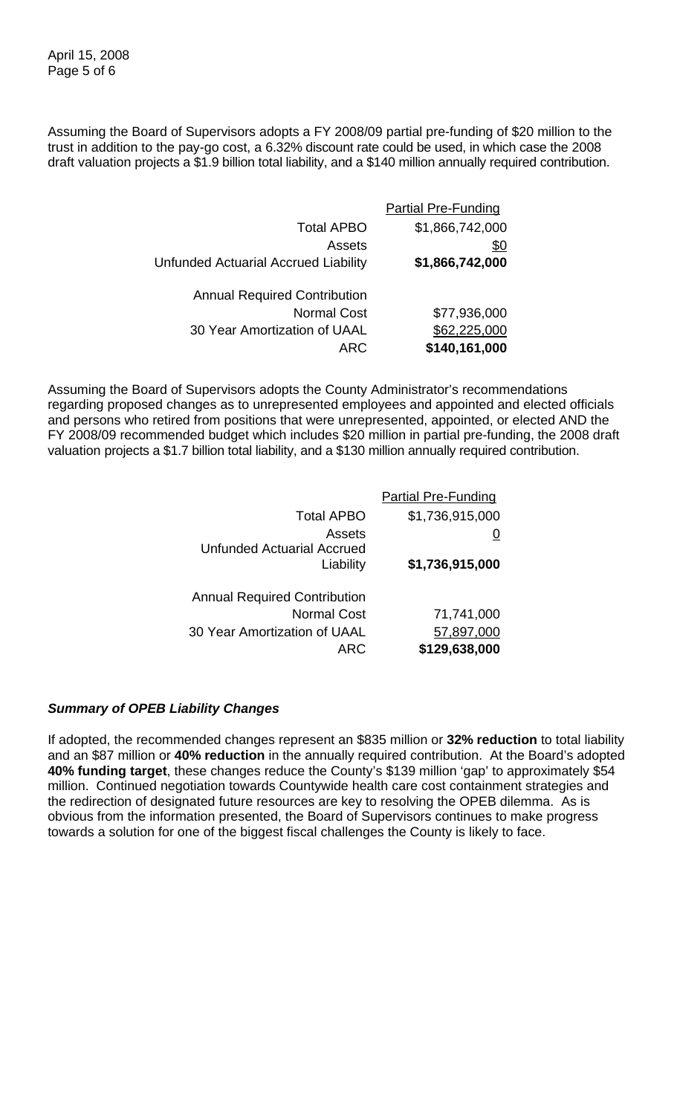Assuming the Board of Supervisors adopts a FY 2008/09 partial pre-funding of \$20 million to the trust in addition to the pay-go cost, a 6.32% discount rate could be used, in which case the 2008 draft valuation projects a \$1.9 billion total liability, and a \$140 million annually required contribution.

|                                             | <b>Partial Pre-Funding</b> |
|---------------------------------------------|----------------------------|
| <b>Total APBO</b>                           | \$1,866,742,000            |
| Assets                                      | <u>\$0</u>                 |
| <b>Unfunded Actuarial Accrued Liability</b> | \$1,866,742,000            |
|                                             |                            |
| <b>Annual Required Contribution</b>         |                            |
| <b>Normal Cost</b>                          | \$77,936,000               |
| 30 Year Amortization of UAAL                | \$62,225,000               |
| ARC.                                        | \$140,161,000              |
|                                             |                            |

Assuming the Board of Supervisors adopts the County Administrator's recommendations regarding proposed changes as to unrepresented employees and appointed and elected officials and persons who retired from positions that were unrepresented, appointed, or elected AND the FY 2008/09 recommended budget which includes \$20 million in partial pre-funding, the 2008 draft valuation projects a \$1.7 billion total liability, and a \$130 million annually required contribution.

|                                     | <b>Partial Pre-Funding</b> |
|-------------------------------------|----------------------------|
| <b>Total APBO</b>                   | \$1,736,915,000            |
| Assets                              |                            |
| <b>Unfunded Actuarial Accrued</b>   |                            |
| Liability                           | \$1,736,915,000            |
| <b>Annual Required Contribution</b> |                            |
| <b>Normal Cost</b>                  | 71,741,000                 |
| 30 Year Amortization of UAAL        | 57,897,000                 |
| ARC.                                | \$129,638,000              |

# *Summary of OPEB Liability Changes*

If adopted, the recommended changes represent an \$835 million or **32% reduction** to total liability and an \$87 million or **40% reduction** in the annually required contribution. At the Board's adopted **40% funding target**, these changes reduce the County's \$139 million 'gap' to approximately \$54 million. Continued negotiation towards Countywide health care cost containment strategies and the redirection of designated future resources are key to resolving the OPEB dilemma. As is obvious from the information presented, the Board of Supervisors continues to make progress towards a solution for one of the biggest fiscal challenges the County is likely to face.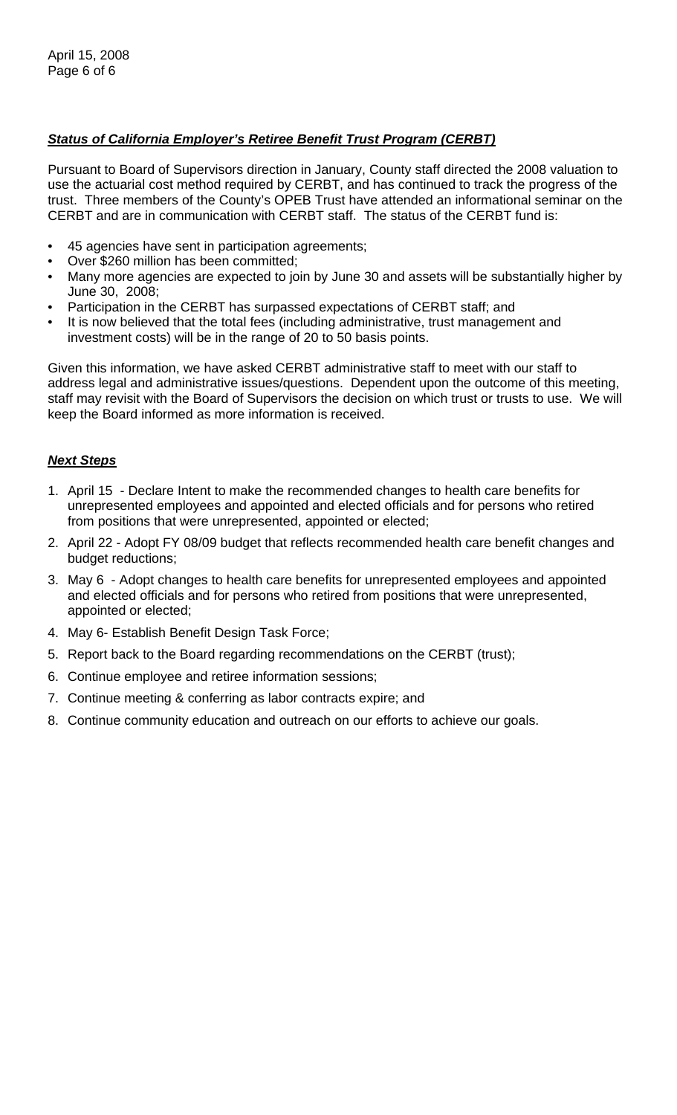# *Status of California Employer's Retiree Benefit Trust Program (CERBT)*

Pursuant to Board of Supervisors direction in January, County staff directed the 2008 valuation to use the actuarial cost method required by CERBT, and has continued to track the progress of the trust. Three members of the County's OPEB Trust have attended an informational seminar on the CERBT and are in communication with CERBT staff. The status of the CERBT fund is:

- 45 agencies have sent in participation agreements;
- Over \$260 million has been committed;
- Many more agencies are expected to join by June 30 and assets will be substantially higher by June 30, 2008;
- Participation in the CERBT has surpassed expectations of CERBT staff; and
- It is now believed that the total fees (including administrative, trust management and investment costs) will be in the range of 20 to 50 basis points.

Given this information, we have asked CERBT administrative staff to meet with our staff to address legal and administrative issues/questions. Dependent upon the outcome of this meeting, staff may revisit with the Board of Supervisors the decision on which trust or trusts to use. We will keep the Board informed as more information is received.

# *Next Steps*

- 1. April 15 Declare Intent to make the recommended changes to health care benefits for unrepresented employees and appointed and elected officials and for persons who retired from positions that were unrepresented, appointed or elected;
- 2. April 22 Adopt FY 08/09 budget that reflects recommended health care benefit changes and budget reductions;
- 3. May 6 Adopt changes to health care benefits for unrepresented employees and appointed and elected officials and for persons who retired from positions that were unrepresented, appointed or elected;
- 4. May 6- Establish Benefit Design Task Force;
- 5. Report back to the Board regarding recommendations on the CERBT (trust);
- 6. Continue employee and retiree information sessions;
- 7. Continue meeting & conferring as labor contracts expire; and
- 8. Continue community education and outreach on our efforts to achieve our goals.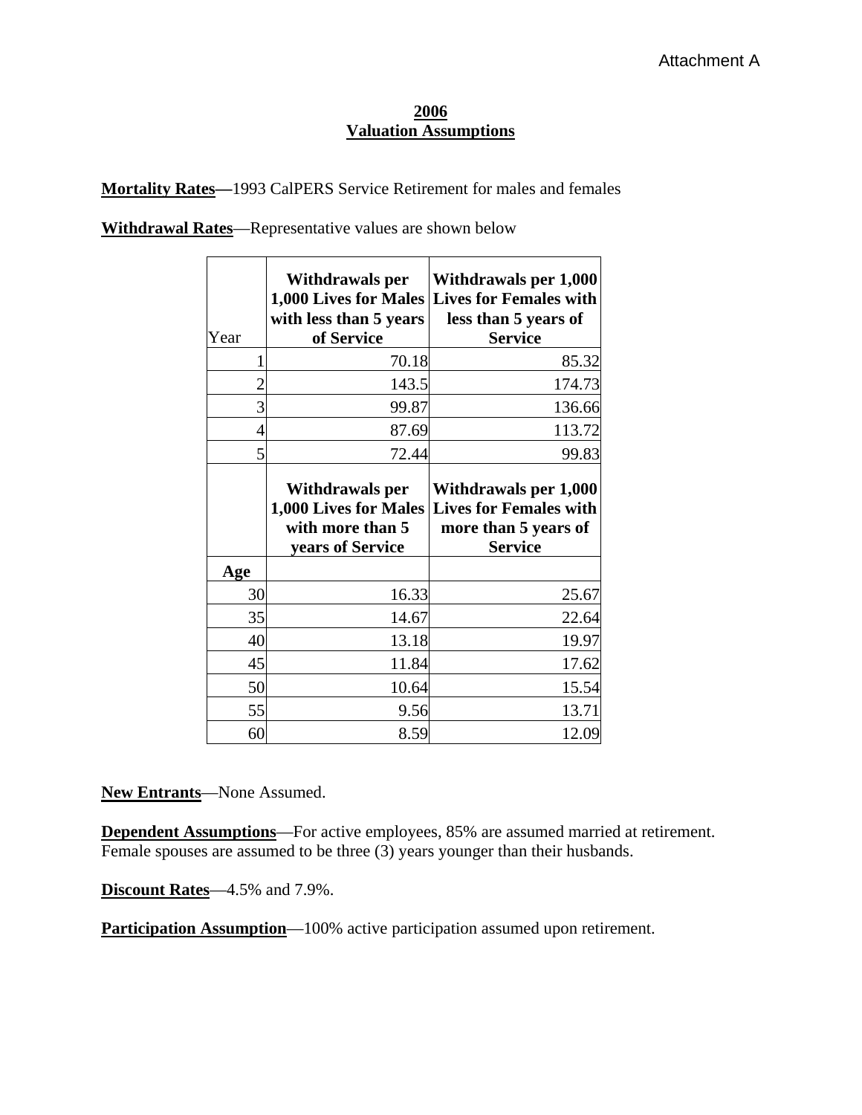#### **2006 Valuation Assumptions**

**Mortality Rates—**1993 CalPERS Service Retirement for males and females

**Withdrawal Rates**—Representative values are shown below

| Year           | Withdrawals per<br>1,000 Lives for Males<br>with less than 5 years<br>of Service | Withdrawals per 1,000<br><b>Lives for Females with</b><br>less than 5 years of<br><b>Service</b> |
|----------------|----------------------------------------------------------------------------------|--------------------------------------------------------------------------------------------------|
| 1              | 70.18                                                                            | 85.32                                                                                            |
| $\overline{2}$ | 143.5                                                                            | 174.73                                                                                           |
| 3              | 99.87                                                                            | 136.66                                                                                           |
| 4              | 87.69                                                                            | 113.72                                                                                           |
| 5              | 72.44                                                                            | 99.83                                                                                            |
|                | Withdrawals per<br>1,000 Lives for Males<br>with more than 5                     | Withdrawals per 1,000<br><b>Lives for Females with</b><br>more than 5 years of                   |
|                | years of Service                                                                 | <b>Service</b>                                                                                   |
| Age            |                                                                                  |                                                                                                  |
| 30             | 16.33                                                                            | 25.67                                                                                            |
| 35             | 14.67                                                                            | 22.64                                                                                            |
| 40             | 13.18                                                                            | 19.97                                                                                            |
| 45             | 11.84                                                                            | 17.62                                                                                            |
| 50             | 10.64                                                                            | 15.54                                                                                            |
| 55             | 9.56                                                                             | 13.71                                                                                            |

**New Entrants**—None Assumed.

**Dependent Assumptions**—For active employees, 85% are assumed married at retirement. Female spouses are assumed to be three (3) years younger than their husbands.

**Discount Rates**—4.5% and 7.9%.

**Participation Assumption**—100% active participation assumed upon retirement.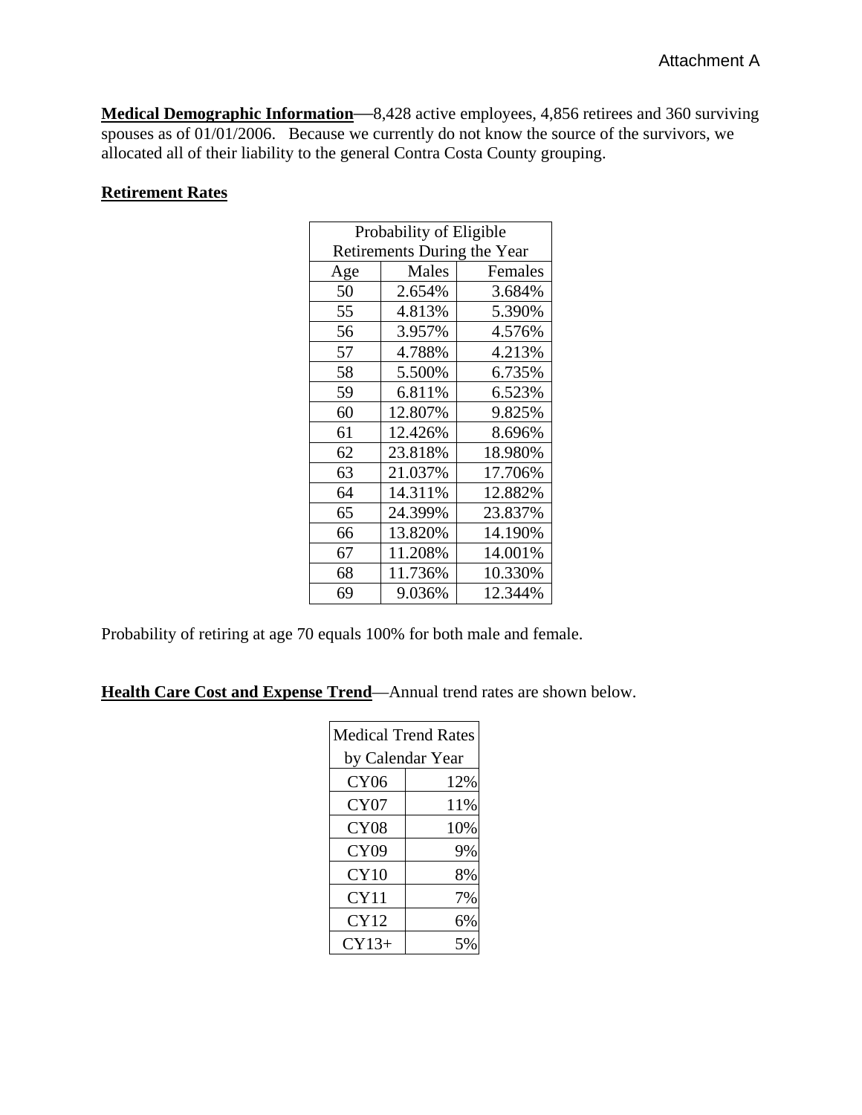**Medical Demographic Information**—8,428 active employees, 4,856 retirees and 360 surviving spouses as of 01/01/2006. Because we currently do not know the source of the survivors, we allocated all of their liability to the general Contra Costa County grouping.

#### **Retirement Rates**

|     | Probability of Eligible     |         |  |
|-----|-----------------------------|---------|--|
|     | Retirements During the Year |         |  |
| Age | Males                       | Females |  |
| 50  | 2.654%                      | 3.684%  |  |
| 55  | 4.813%                      | 5.390%  |  |
| 56  | 3.957%                      | 4.576%  |  |
| 57  | 4.788%                      | 4.213%  |  |
| 58  | 5.500%                      | 6.735%  |  |
| 59  | 6.811%                      | 6.523%  |  |
| 60  | 12.807%                     | 9.825%  |  |
| 61  | 12.426%                     | 8.696%  |  |
| 62  | 23.818%                     | 18.980% |  |
| 63  | 21.037%                     | 17.706% |  |
| 64  | 14.311%                     | 12.882% |  |
| 65  | 24.399%                     | 23.837% |  |
| 66  | 13.820%                     | 14.190% |  |
| 67  | 11.208%                     | 14.001% |  |
| 68  | 11.736%                     | 10.330% |  |
| 69  | 9.036%                      | 12.344% |  |

Probability of retiring at age 70 equals 100% for both male and female.

**Health Care Cost and Expense Trend**—Annual trend rates are shown below.

| <b>Medical Trend Rates</b> |     |
|----------------------------|-----|
| by Calendar Year           |     |
| CY <sub>06</sub>           | 12% |
| CY07                       | 11% |
| CY <sub>08</sub>           | 10% |
| CY <sub>09</sub>           | 9%  |
| CY10                       | 8%  |
| CY11                       | 7%  |
| CY12                       | 6%  |
| $CY13+$                    | 59  |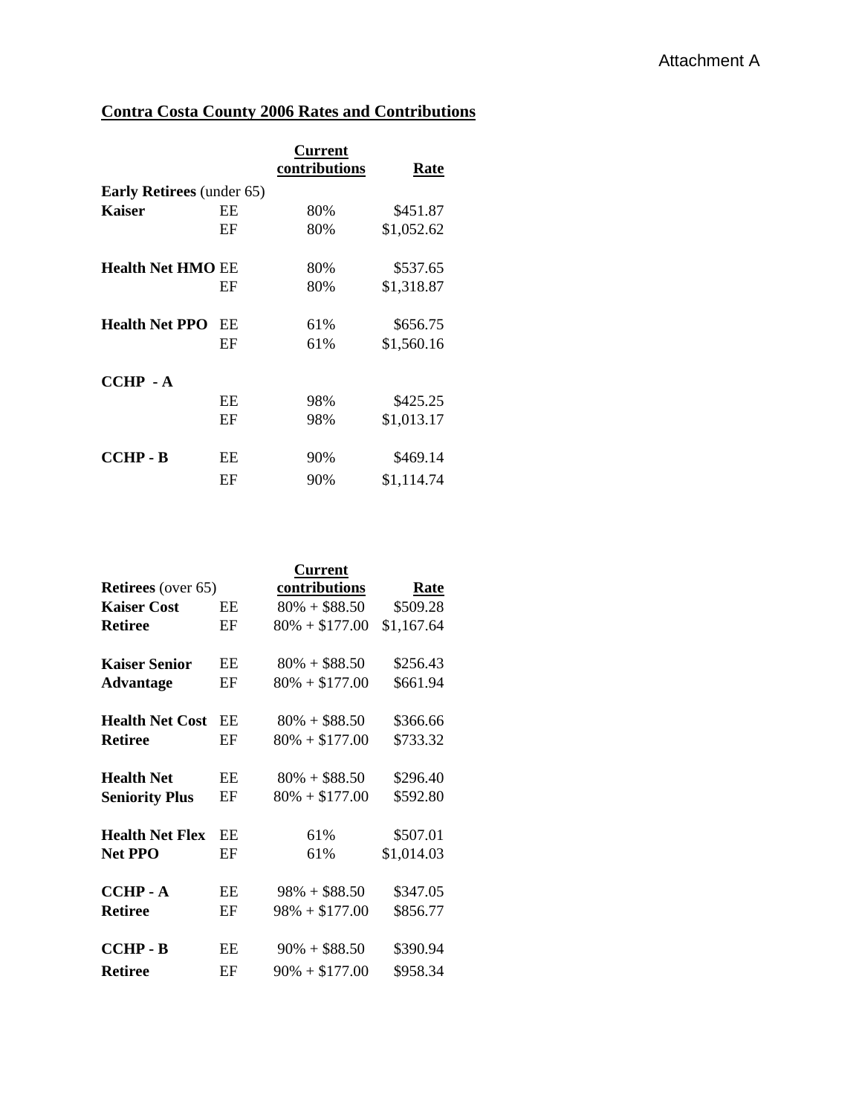# **Contra Costa County 2006 Rates and Contributions**

|                                  |    | Current       |            |
|----------------------------------|----|---------------|------------|
|                                  |    | contributions | Rate       |
| <b>Early Retirees</b> (under 65) |    |               |            |
| <b>Kaiser</b>                    | EE | 80%           | \$451.87   |
|                                  | EF | 80%           | \$1,052.62 |
| <b>Health Net HMO EE</b>         |    | 80%           | \$537.65   |
|                                  | EF | 80%           | \$1,318.87 |
| <b>Health Net PPO</b>            | EE | 61%           | \$656.75   |
|                                  | EF | 61%           | \$1,560.16 |
| $CCHP - A$                       |    |               |            |
|                                  | EE | 98%           | \$425.25   |
|                                  | EF | 98%           | \$1,013.17 |
| CCHP - B                         | EE | 90%           | \$469.14   |
|                                  | EF | 90%           | \$1,114.74 |

|                           |    | <b>Current</b>   |            |
|---------------------------|----|------------------|------------|
| <b>Retirees</b> (over 65) |    | contributions    | Rate       |
| <b>Kaiser Cost</b>        | EE | $80\% + $88.50$  | \$509.28   |
| <b>Retiree</b>            | EF | $80\% + $177.00$ | \$1,167.64 |
| <b>Kaiser Senior</b>      | EE | $80\% + $88.50$  | \$256.43   |
| <b>Advantage</b>          | EF | $80\% + $177.00$ | \$661.94   |
| <b>Health Net Cost</b>    | EE | $80\% + $88.50$  | \$366.66   |
| <b>Retiree</b>            | EF | $80\% + $177.00$ | \$733.32   |
| <b>Health Net</b>         | EE | $80\% + $88.50$  | \$296.40   |
| <b>Seniority Plus</b>     | EF | $80\% + $177.00$ | \$592.80   |
| <b>Health Net Flex</b>    | EE | 61%              | \$507.01   |
| <b>Net PPO</b>            | EF | 61%              | \$1,014.03 |
| <b>CCHP</b> - A           | EЕ | $98\% + $88.50$  | \$347.05   |
| <b>Retiree</b>            | EF | $98\% + $177.00$ | \$856.77   |
| <b>CCHP - B</b>           | EE | $90\% + $88.50$  | \$390.94   |
| <b>Retiree</b>            | EF | $90\% + $177.00$ | \$958.34   |
|                           |    |                  |            |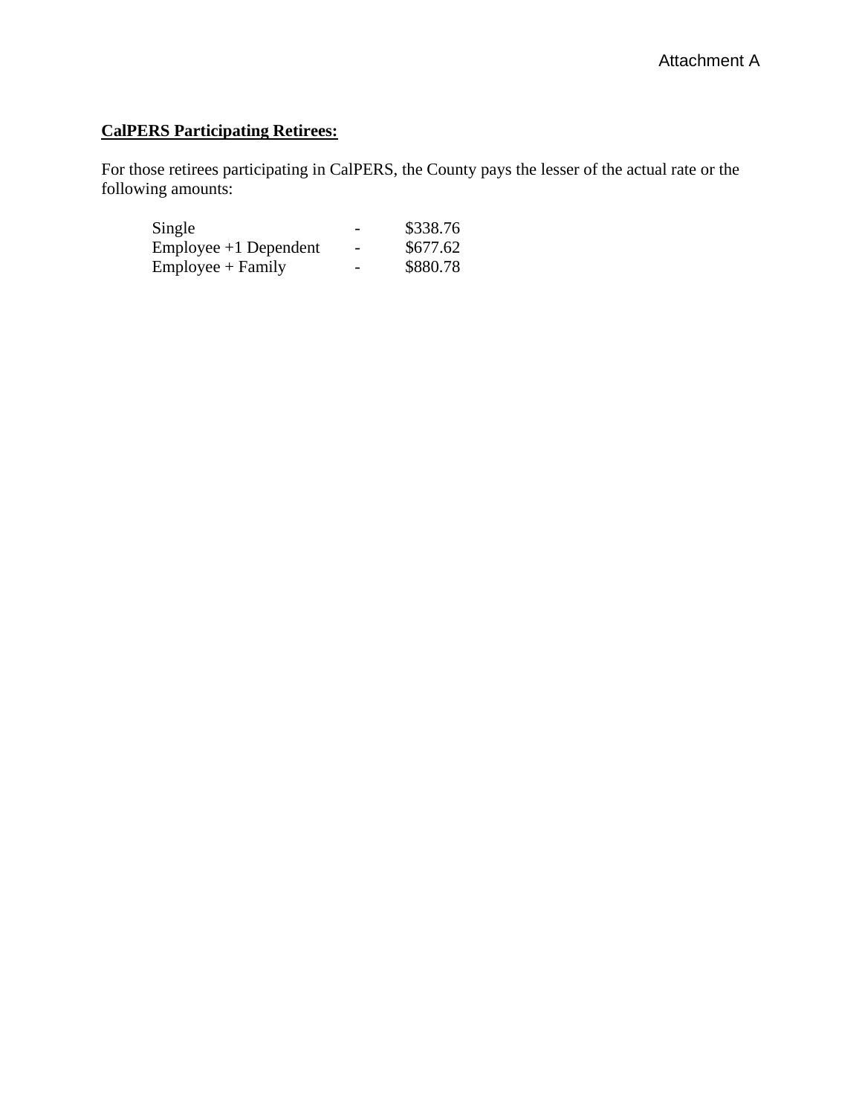# **CalPERS Participating Retirees:**

For those retirees participating in CalPERS, the County pays the lesser of the actual rate or the following amounts:

| Single                  | $\overline{\phantom{0}}$ | \$338.76 |
|-------------------------|--------------------------|----------|
| $Employee +1$ Dependent | $\overline{\phantom{a}}$ | \$677.62 |
| $Employee + Family$     | $\overline{\phantom{a}}$ | \$880.78 |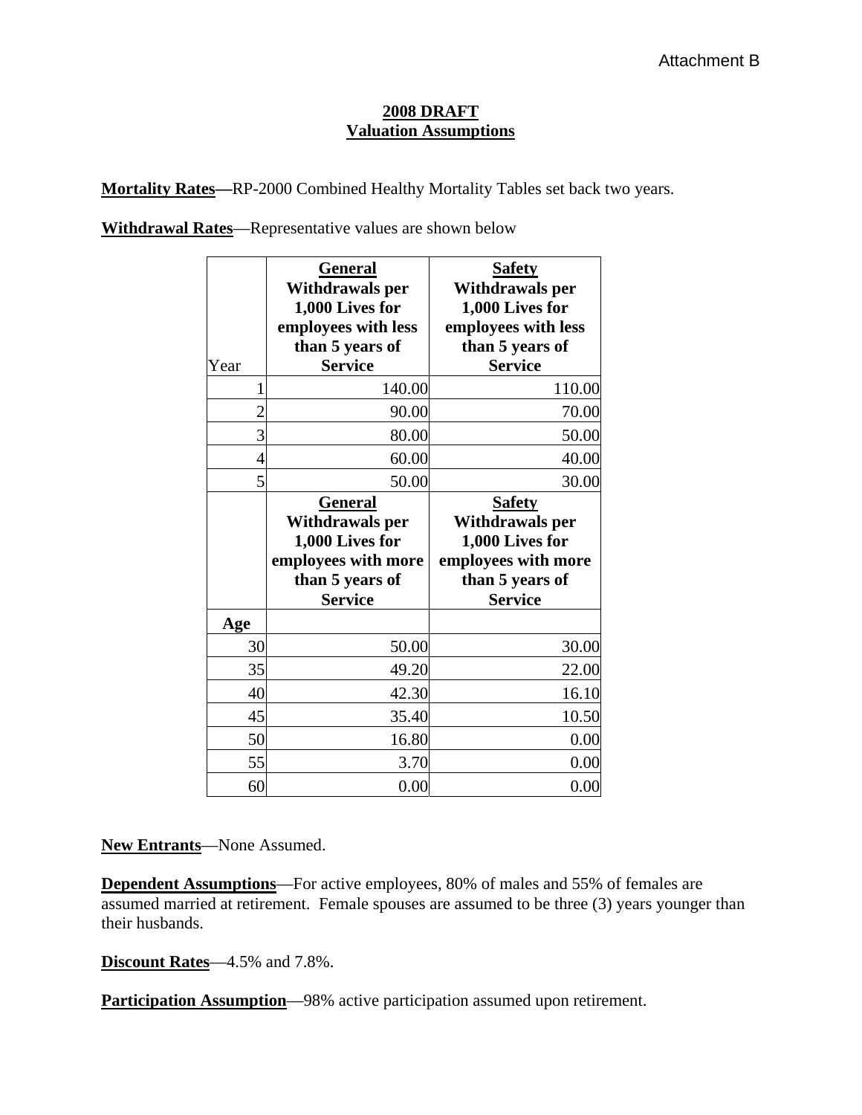#### **2008 DRAFT Valuation Assumptions**

**Mortality Rates—**RP-2000 Combined Healthy Mortality Tables set back two years.

**Withdrawal Rates**—Representative values are shown below

| Year           | <b>General</b><br><b>Withdrawals per</b><br>1,000 Lives for<br>employees with less<br>than 5 years of<br><b>Service</b> | <b>Safety</b><br><b>Withdrawals per</b><br>1,000 Lives for<br>employees with less<br>than 5 years of<br><b>Service</b> |
|----------------|-------------------------------------------------------------------------------------------------------------------------|------------------------------------------------------------------------------------------------------------------------|
| 1              | 140.00                                                                                                                  | 110.00                                                                                                                 |
| $\overline{2}$ | 90.00                                                                                                                   | 70.00                                                                                                                  |
| 3              | 80.00                                                                                                                   | 50.00                                                                                                                  |
| $\overline{4}$ | 60.00                                                                                                                   | 40.00                                                                                                                  |
| 5              | 50.00                                                                                                                   | 30.00                                                                                                                  |
|                | <b>General</b><br><b>Withdrawals per</b><br>1,000 Lives for<br>employees with more                                      | <b>Safety</b><br><b>Withdrawals per</b><br>1,000 Lives for<br>employees with more                                      |
|                | than 5 years of<br><b>Service</b>                                                                                       | than 5 years of<br><b>Service</b>                                                                                      |
| Age            |                                                                                                                         |                                                                                                                        |
| 30             | 50.00                                                                                                                   | 30.00                                                                                                                  |
| 35             | 49.20                                                                                                                   | 22.00                                                                                                                  |
| 40             | 42.30                                                                                                                   | 16.10                                                                                                                  |
| 45             | 35.40                                                                                                                   | 10.50                                                                                                                  |
| 50             | 16.80                                                                                                                   | 0.00                                                                                                                   |
| 55             | 3.70                                                                                                                    | 0.00                                                                                                                   |

#### **New Entrants**—None Assumed.

**Dependent Assumptions**—For active employees, 80% of males and 55% of females are assumed married at retirement. Female spouses are assumed to be three (3) years younger than their husbands.

**Discount Rates**—4.5% and 7.8%.

**Participation Assumption**—98% active participation assumed upon retirement.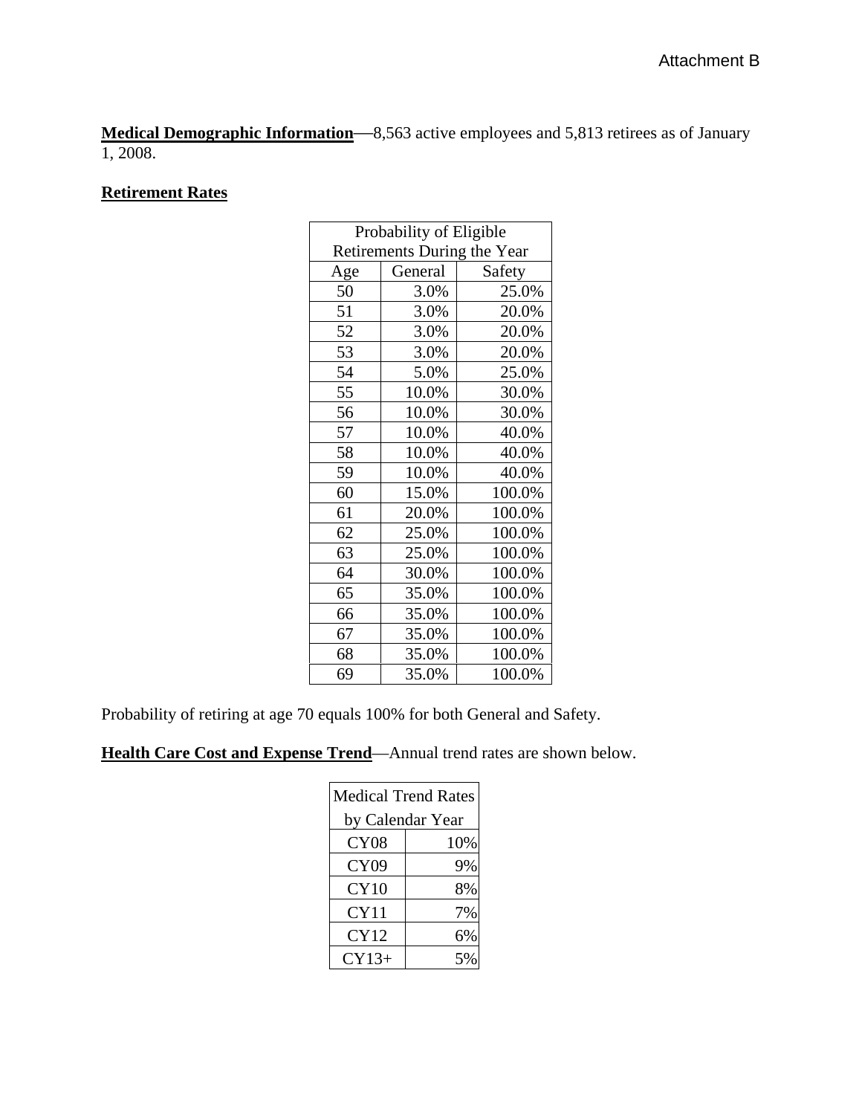**Medical Demographic Information**—8,563 active employees and 5,813 retirees as of January 1, 2008.

# **Retirement Rates**

| Probability of Eligible     |         |        |  |  |
|-----------------------------|---------|--------|--|--|
| Retirements During the Year |         |        |  |  |
| Age                         | General | Safety |  |  |
| 50                          | 3.0%    | 25.0%  |  |  |
| 51                          | 3.0%    | 20.0%  |  |  |
| 52                          | 3.0%    | 20.0%  |  |  |
| 53                          | 3.0%    | 20.0%  |  |  |
| 54                          | 5.0%    | 25.0%  |  |  |
| 55                          | 10.0%   | 30.0%  |  |  |
| 56                          | 10.0%   | 30.0%  |  |  |
| 57                          | 10.0%   | 40.0%  |  |  |
| 58                          | 10.0%   | 40.0%  |  |  |
| 59                          | 10.0%   | 40.0%  |  |  |
| 60                          | 15.0%   | 100.0% |  |  |
| 61                          | 20.0%   | 100.0% |  |  |
| 62                          | 25.0%   | 100.0% |  |  |
| 63                          | 25.0%   | 100.0% |  |  |
| 64                          | 30.0%   | 100.0% |  |  |
| 65                          | 35.0%   | 100.0% |  |  |
| 66                          | 35.0%   | 100.0% |  |  |
| 67                          | 35.0%   | 100.0% |  |  |
| 68                          | 35.0%   | 100.0% |  |  |
| 69                          | 35.0%   | 100.0% |  |  |
|                             |         |        |  |  |

Probability of retiring at age 70 equals 100% for both General and Safety.

**Health Care Cost and Expense Trend**—Annual trend rates are shown below.

| Medical Trend Rates |     |  |  |  |
|---------------------|-----|--|--|--|
| by Calendar Year    |     |  |  |  |
| CY <sub>08</sub>    | 10% |  |  |  |
| CY <sub>09</sub>    | 9%  |  |  |  |
| CY10                | 8%  |  |  |  |
| CY11                | 7%  |  |  |  |
| CY12                | 6%  |  |  |  |
| $CY13+$             | 5   |  |  |  |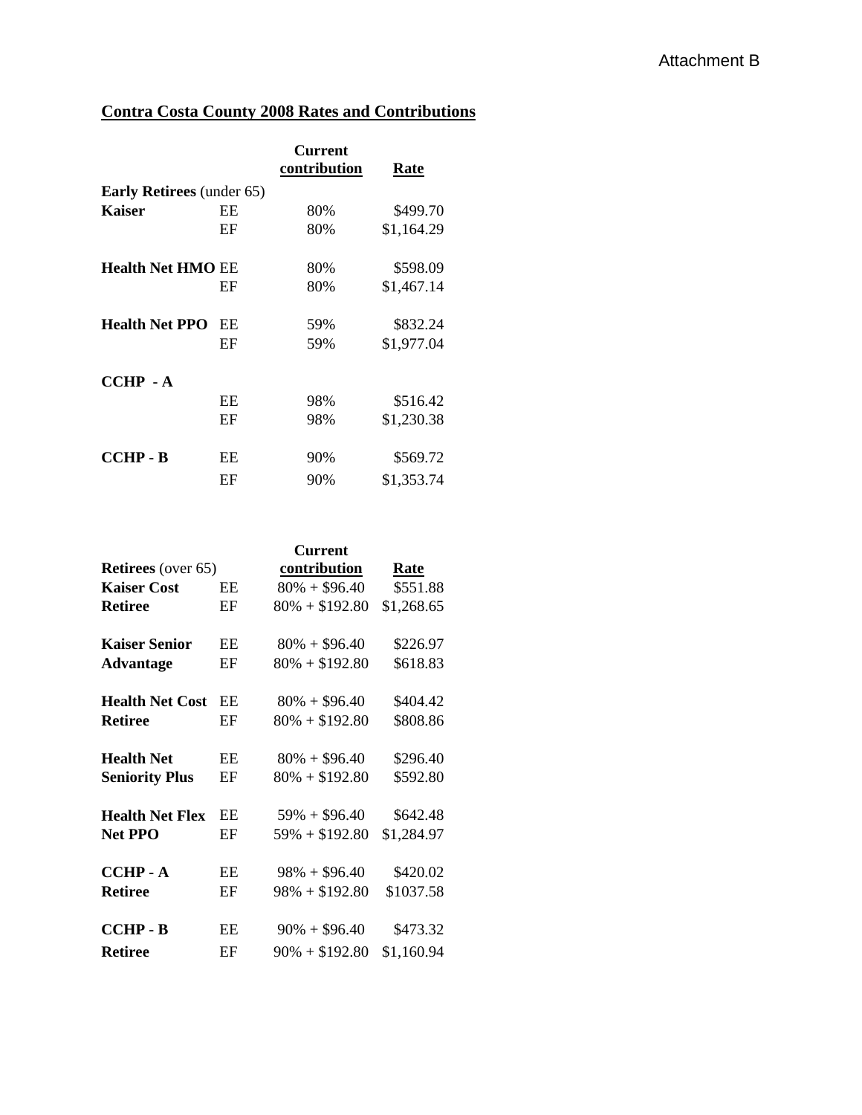# **Contra Costa County 2008 Rates and Contributions**

|                                  |    | Current      |            |
|----------------------------------|----|--------------|------------|
|                                  |    | contribution | Rate       |
| <b>Early Retirees</b> (under 65) |    |              |            |
| <b>Kaiser</b>                    | EΕ | 80%          | \$499.70   |
|                                  | ΕF | 80%          | \$1,164.29 |
| <b>Health Net HMO EE</b>         |    | 80%          | \$598.09   |
|                                  | ΕF | 80%          | \$1,467.14 |
| <b>Health Net PPO</b>            | EE | 59%          | \$832.24   |
|                                  | EF | 59%          | \$1,977.04 |
| $CCHP - A$                       |    |              |            |
|                                  | EE | 98%          | \$516.42   |
|                                  | EF | 98%          | \$1,230.38 |
| CCHP - B                         | EE | 90%          | \$569.72   |
|                                  | EF | 90%          | \$1,353.74 |

|                           |    | <b>Current</b>   |            |
|---------------------------|----|------------------|------------|
| <b>Retirees</b> (over 65) |    | contribution     | Rate       |
| <b>Kaiser Cost</b>        | EЕ | $80\% + $96.40$  | \$551.88   |
| <b>Retiree</b>            | EF | $80\% + $192.80$ | \$1,268.65 |
| <b>Kaiser Senior</b>      | EE | $80\% + \$96.40$ | \$226.97   |
| <b>Advantage</b>          | ΕF | $80\% + $192.80$ | \$618.83   |
| <b>Health Net Cost</b>    | EE | $80\% + $96.40$  | \$404.42   |
| <b>Retiree</b>            | EF | $80\% + $192.80$ | \$808.86   |
| <b>Health Net</b>         | EE | $80\% + \$96.40$ | \$296.40   |
| <b>Seniority Plus</b>     | EF | $80\% + $192.80$ | \$592.80   |
| <b>Health Net Flex</b>    | EE | $59\% + $96.40$  | \$642.48   |
| <b>Net PPO</b>            | EF | $59\% + $192.80$ | \$1,284.97 |
| <b>CCHP</b> - A           | EE | $98\% + $96.40$  | \$420.02   |
| <b>Retiree</b>            | EF | $98\% + $192.80$ | \$1037.58  |
| <b>CCHP - B</b>           | EE | $90\% + $96.40$  | \$473.32   |
| <b>Retiree</b>            | EF | $90\% + $192.80$ | \$1,160.94 |